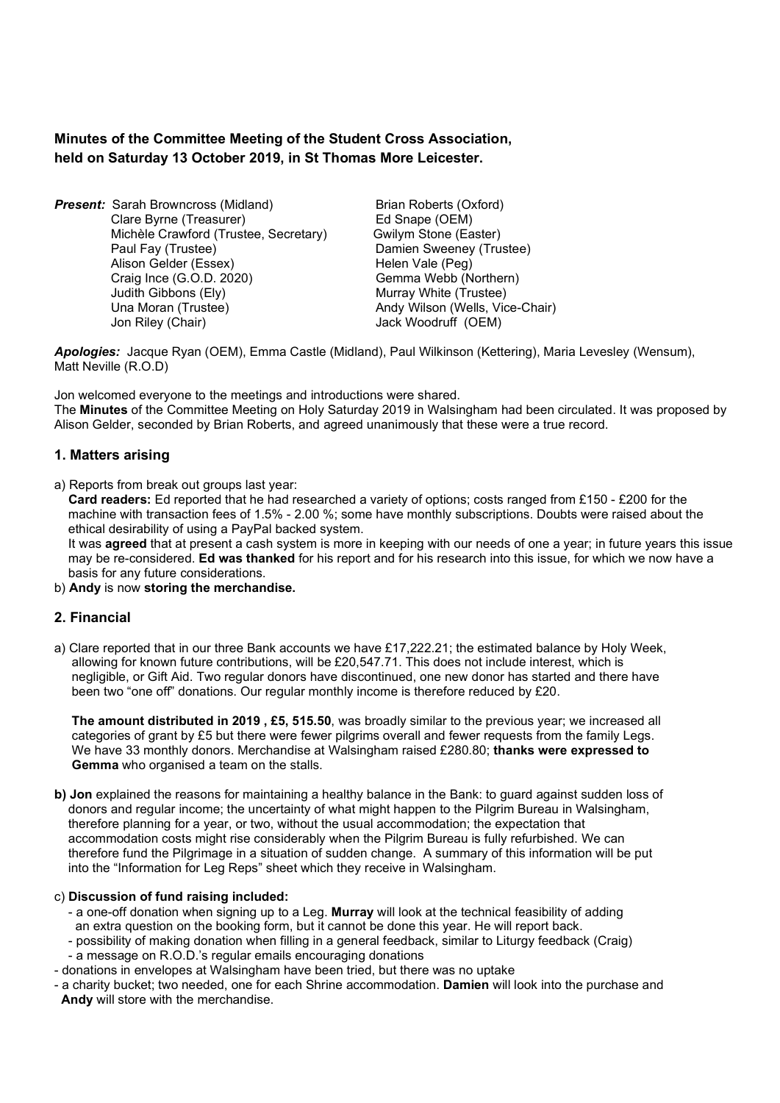# Minutes of the Committee Meeting of the Student Cross Association, held on Saturday 13 October 2019, in St Thomas More Leicester.

**Present:** Sarah Browncross (Midland) Brian Roberts (Oxford) Clare Byrne (Treasurer) Ed Snape (OEM) Michèle Crawford (Trustee, Secretary) Gwilym Stone (Easter) Paul Fay (Trustee) **Damien Sweeney (Trustee)** Alison Gelder (Essex) Helen Vale (Peg) Craig Ince (G.O.D. 2020) Gemma Webb (Northern) Judith Gibbons (Ely) Murray White (Trustee) Una Moran (Trustee) **Andy Wilson (Wells, Vice-Chair)** Andy Wilson (Wells, Vice-Chair) Jon Riley (Chair) **Jack Woodruff** (OEM)

Apologies: Jacque Ryan (OEM), Emma Castle (Midland), Paul Wilkinson (Kettering), Maria Levesley (Wensum), Matt Neville (R.O.D)

Jon welcomed everyone to the meetings and introductions were shared. The Minutes of the Committee Meeting on Holy Saturday 2019 in Walsingham had been circulated. It was proposed by Alison Gelder, seconded by Brian Roberts, and agreed unanimously that these were a true record.

## 1. Matters arising

a) Reports from break out groups last year:

 Card readers: Ed reported that he had researched a variety of options; costs ranged from £150 - £200 for the machine with transaction fees of 1.5% - 2.00 %; some have monthly subscriptions. Doubts were raised about the ethical desirability of using a PayPal backed system.

It was **agreed** that at present a cash system is more in keeping with our needs of one a year; in future years this issue may be re-considered. Ed was thanked for his report and for his research into this issue, for which we now have a basis for any future considerations.

b) Andy is now storing the merchandise.

# 2. Financial

a) Clare reported that in our three Bank accounts we have £17,222.21; the estimated balance by Holy Week, allowing for known future contributions, will be £20,547.71. This does not include interest, which is negligible, or Gift Aid. Two regular donors have discontinued, one new donor has started and there have been two "one off" donations. Our regular monthly income is therefore reduced by £20.

 The amount distributed in 2019 , £5, 515.50, was broadly similar to the previous year; we increased all categories of grant by £5 but there were fewer pilgrims overall and fewer requests from the family Legs. We have 33 monthly donors. Merchandise at Walsingham raised £280.80; thanks were expressed to Gemma who organised a team on the stalls.

b) Jon explained the reasons for maintaining a healthy balance in the Bank: to quard against sudden loss of donors and regular income; the uncertainty of what might happen to the Pilgrim Bureau in Walsingham, therefore planning for a year, or two, without the usual accommodation; the expectation that accommodation costs might rise considerably when the Pilgrim Bureau is fully refurbished. We can therefore fund the Pilgrimage in a situation of sudden change. A summary of this information will be put into the "Information for Leg Reps" sheet which they receive in Walsingham.

#### c) Discussion of fund raising included:

- a one-off donation when signing up to a Leg. Murray will look at the technical feasibility of adding an extra question on the booking form, but it cannot be done this year. He will report back.
- possibility of making donation when filling in a general feedback, similar to Liturgy feedback (Craig)
- a message on R.O.D.'s regular emails encouraging donations
- donations in envelopes at Walsingham have been tried, but there was no uptake
- a charity bucket; two needed, one for each Shrine accommodation. Damien will look into the purchase and Andy will store with the merchandise.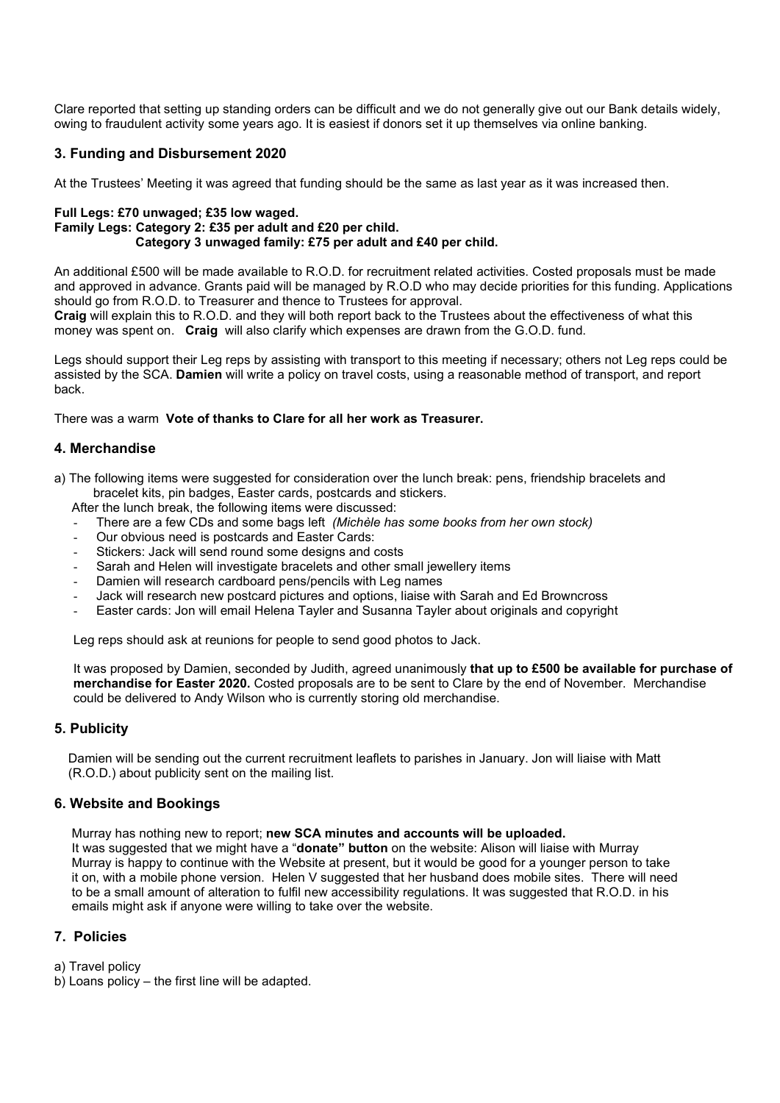Clare reported that setting up standing orders can be difficult and we do not generally give out our Bank details widely, owing to fraudulent activity some years ago. It is easiest if donors set it up themselves via online banking.

## 3. Funding and Disbursement 2020

At the Trustees' Meeting it was agreed that funding should be the same as last year as it was increased then.

#### Full Legs: £70 unwaged; £35 low waged. Family Legs: Category 2: £35 per adult and £20 per child. Category 3 unwaged family: £75 per adult and £40 per child.

An additional £500 will be made available to R.O.D. for recruitment related activities. Costed proposals must be made and approved in advance. Grants paid will be managed by R.O.D who may decide priorities for this funding. Applications should go from R.O.D. to Treasurer and thence to Trustees for approval.

Craig will explain this to R.O.D. and they will both report back to the Trustees about the effectiveness of what this money was spent on. Craig will also clarify which expenses are drawn from the G.O.D. fund.

Legs should support their Leg reps by assisting with transport to this meeting if necessary; others not Leg reps could be assisted by the SCA. Damien will write a policy on travel costs, using a reasonable method of transport, and report back.

There was a warm Vote of thanks to Clare for all her work as Treasurer.

## 4. Merchandise

a) The following items were suggested for consideration over the lunch break: pens, friendship bracelets and bracelet kits, pin badges, Easter cards, postcards and stickers.

After the lunch break, the following items were discussed:

- There are a few CDs and some bags left (Michèle has some books from her own stock)
- Our obvious need is postcards and Easter Cards:
- Stickers: Jack will send round some designs and costs
- Sarah and Helen will investigate bracelets and other small jewellery items
- Damien will research cardboard pens/pencils with Leg names
- Jack will research new postcard pictures and options, liaise with Sarah and Ed Browncross
- Easter cards: Jon will email Helena Tayler and Susanna Tayler about originals and copyright

Leg reps should ask at reunions for people to send good photos to Jack.

It was proposed by Damien, seconded by Judith, agreed unanimously that up to £500 be available for purchase of merchandise for Easter 2020. Costed proposals are to be sent to Clare by the end of November. Merchandise could be delivered to Andy Wilson who is currently storing old merchandise.

### 5. Publicity

 Damien will be sending out the current recruitment leaflets to parishes in January. Jon will liaise with Matt (R.O.D.) about publicity sent on the mailing list.

### 6. Website and Bookings

Murray has nothing new to report; new SCA minutes and accounts will be uploaded.

It was suggested that we might have a "donate" button on the website: Alison will liaise with Murray Murray is happy to continue with the Website at present, but it would be good for a younger person to take it on, with a mobile phone version. Helen V suggested that her husband does mobile sites. There will need to be a small amount of alteration to fulfil new accessibility regulations. It was suggested that R.O.D. in his emails might ask if anyone were willing to take over the website.

### 7. Policies

a) Travel policy

b) Loans policy – the first line will be adapted.